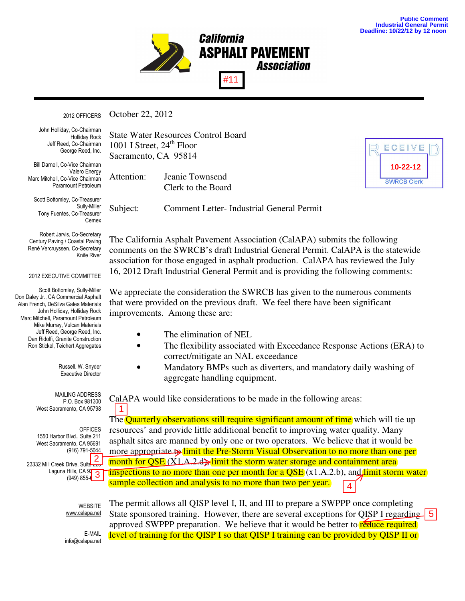**10-22-12**



October 22, 2012 2012 OFFICERS

Holliday Rock Jeff Reed, Co-Chairman Bill Darnell, Co-Chairman John Holliday, Co-Chairman George Reed, Inc.

Bill Darnell, Co-Vice Chairman Marc Mitchell, Co-Vice Chairman Paramount Petroleum Valero Energy

Scott Bottomley, Co-Treasurer Sully-Miller Cemex Tony Fuentes, Co-Treasurer

Century Paving / Coastal Paving René Vercruyssen, Co-Secretary Robert Jarvis, Co-Secretary Knife River

## 2012 EXECUTIVE COMMITTEE

Scott Bottomley, Sully-Miller Alan French, DeSilva Gates Materials John Holliday, Holliday Rock Don Daley Jr., CA Commercial Asphalt Marc Mitchell, Paramount Petroleum Mike Murray, Vulcan Materials Jeff Reed, George Reed, Inc. Dan Ridolfi, Granite Construction Ron Stickel, Teichert Aggregates

> Russell. W. Snyder Executive Director

P.O. Box 981300 West Sacramento, CA 95798 MAILING ADDRESS

1550 Harbor Blvd., Suite 211 West Sacramento, CA 95691 (916) 791-<u>5044</u>  $Is$ , CA  $91$  $(949) 855-6$ **OFFICES** 23332 Mill Creek Drive, Suite Laguna Hills, CA 975 (949) 855-6<mark>1 - 21</mark>

State Water Resources Control Board 1001 I Street,  $24<sup>th</sup>$  Floor Sacramento, CA 95814

Attention: Jeanie Townsend Clerk to the Board

Subject: Comment Letter- Industrial General Permit

The California Asphalt Pavement Association (CalAPA) submits the following comments on the SWRCB's draft Industrial General Permit. CalAPA is the statewide association for those engaged in asphalt production. CalAPA has reviewed the July 16, 2012 Draft Industrial General Permit and is providing the following comments:

We appreciate the consideration the SWRCB has given to the numerous comments that were provided on the previous draft. We feel there have been significant improvements. Among these are:

- The elimination of NEL
- The flexibility associated with Exceedance Response Actions (ERA) to correct/mitigate an NAL exceedance
- Mandatory BMPs such as diverters, and mandatory daily washing of aggregate handling equipment.

CalAPA would like considerations to be made in the following areas:

The **Quarterly observations still require significant amount of time** which will tie up resources' and provide little additional benefit to improving water quality. Many asphalt sites are manned by only one or two operators. We believe that it would be more appropriate to limit the Pre-Storm Visual Observation to no more than one per month for  $\overline{OSE}$  (X1.A.2.d.), limit the storm water storage and containment area inspections to no more than one per month for a  $QSE(x1.A.2.b)$ , and limit storm water sample collection and analysis to no more than two per year. **EXERCT SET AND THE PROPERTIES AND THE PROPERTIES AND TRISPET THE PROPERTIES AND TRISPET THE PROPERTIES AND TRISPET THE PROPERTIES AND TRISPET THE PROPERTIES AND TRISPET THE PROPERTIES AND TRISPET THE PROPERTIES AND TRISP** 

WEBSITE www.calapa.net

The permit allows all QISP level I, II, and III to prepare a SWPPP once completing State sponsored training. However, there are several exceptions for QISP I regarding 5 approved SWPPP preparation. We believe that it would be better to reduce required level of training for the QISP I so that QISP I training can be provided by QISP II or

info@californiapavements.org E-MAIL info@calapa.net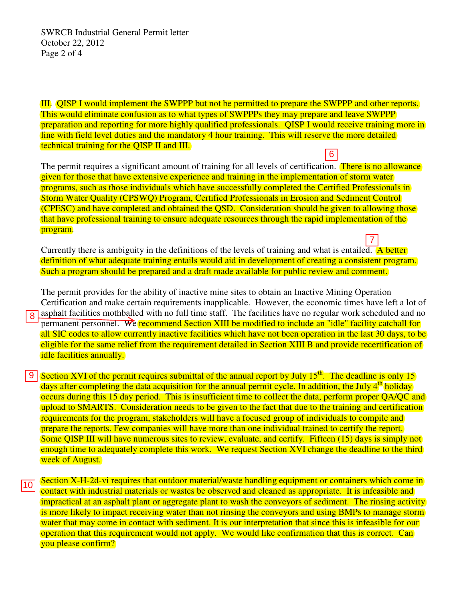III. QISP I would implement the SWPPP but not be permitted to prepare the SWPPP and other reports. This would eliminate confusion as to what types of SWPPPs they may prepare and leave SWPPP preparation and reporting for more highly qualified professionals. QISP I would receive training more in line with field level duties and the mandatory 4 hour training. This will reserve the more detailed technical training for the QISP II and III.

The permit requires a significant amount of training for all levels of certification. There is no allowance given for those that have extensive experience and training in the implementation of storm water programs, such as those individuals which have successfully completed the Certified Professionals in Storm Water Quality (CPSWQ) Program, Certified Professionals in Erosion and Sediment Control (CPESC) and have completed and obtained the QSD. Consideration should be given to allowing those that have professional training to ensure adequate resources through the rapid implementation of the program.

Currently there is ambiguity in the definitions of the levels of training and what is entailed. A better definition of what adequate training entails would aid in development of creating a consistent program. Such a program should be prepared and a draft made available for public review and comment.

The permit provides for the ability of inactive mine sites to obtain an Inactive Mining Operation Certification and make certain requirements inapplicable. However, the economic times have left a lot of asphalt facilities mothballed with no full time staff. The facilities have no regular work scheduled and no permanent personnel. We recommend Section XIII be modified to include an "idle" facility catchall for all SIC codes to allow currently inactive facilities which have not been operation in the last 30 days, to be eligible for the same relief from the requirement detailed in Section XIII B and provide recertification of idle facilities annually.

- $\boxed{9}$  Section XVI of the permit requires submittal of the annual report by July 15<sup>th</sup>. The deadline is only 15 days after completing the data acquisition for the annual permit cycle. In addition, the July  $4<sup>th</sup>$  holiday occurs during this 15 day period. This is insufficient time to collect the data, perform proper QA/QC and upload to SMARTS. Consideration needs to be given to the fact that due to the training and certification requirements for the program, stakeholders will have a focused group of individuals to compile and prepare the reports. Few companies will have more than one individual trained to certify the report. Some QISP III will have numerous sites to review, evaluate, and certify. Fifteen (15) days is simply not enough time to adequately complete this work. We request Section XVI change the deadline to the third week of August. The permit requires a significant amount of training for all levels of certification. There is:<br>given for those that have extensive experience and training in the implementation of storm<br>more than the security (CPSWQ) Pro
- Section X-H-2d-vi requires that outdoor material/waste handling equipment or containers which come in contact with industrial materials or wastes be observed and cleaned as appropriate. It is infeasible and impractical at an asphalt plant or aggregate plant to wash the conveyors of sediment. The rinsing activity is more likely to impact receiving water than not rinsing the conveyors and using BMPs to manage storm water that may come in contact with sediment. It is our interpretation that since this is infeasible for our operation that this requirement would not apply. We would like confirmation that this is correct. Can you please confirm?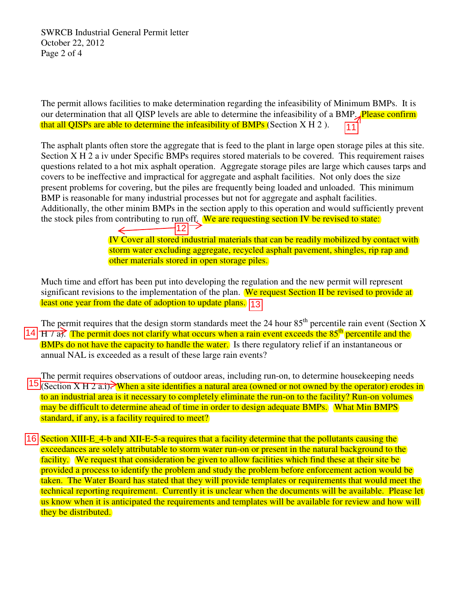SWRCB Industrial General Permit letter October 22, 2012 Page 2 of 4

The permit allows facilities to make determination regarding the infeasibility of Minimum BMPs. It is our determination that all QISP levels are able to determine the infeasibility of a BMP. Please confirm that all QISPs are able to determine the infeasibility of BMPs (Section  $X H 2$ ). 11

The asphalt plants often store the aggregate that is feed to the plant in large open storage piles at this site. Section X H 2 a iv under Specific BMPs requires stored materials to be covered. This requirement raises questions related to a hot mix asphalt operation. Aggregate storage piles are large which causes tarps and covers to be ineffective and impractical for aggregate and asphalt facilities. Not only does the size present problems for covering, but the piles are frequently being loaded and unloaded. This minimum BMP is reasonable for many industrial processes but not for aggregate and asphalt facilities. Additionally, the other minim BMPs in the section apply to this operation and would sufficiently prevent the stock piles from contributing to run off. We are requesting section IV be revised to state:

> IV Cover all stored industrial materials that can be readily mobilized by contact with storm water excluding aggregate, recycled asphalt pavement, shingles, rip rap and other materials stored in open storage piles. 12

Much time and effort has been put into developing the regulation and the new permit will represent significant revisions to the implementation of the plan. We request Section II be revised to provide at least one year from the date of adoption to update plans. [13

The permit requires that the design storm standards meet the 24 hour  $85<sup>th</sup>$  percentile rain event (Section X 14  $\overline{H}$  7 a). The permit does not clarify what occurs when a rain event exceeds the 85<sup>th</sup> percentile and the **BMPs** do not have the capacity to handle the water. Is there regulatory relief if an instantaneous or annu BMPs do not have the capacity to handle the water. Is there regulatory relief if an instantaneous or annual NAL is exceeded as a result of these large rain events?

The permit requires observations of outdoor areas, including run-on, to determine housekeeping needs 15 (Section X H 2 a.i). When a site identifies a natural area (owned or not owned by the operator) erodes in to an industrial area is it necessary to completely eliminate the run-on to the facility? Run-on volumes may be difficult to determine ahead of time in order to design adequate BMPs. What Min BMPS standard, if any, is a facility required to meet?

16 Section XIII-E\_4-b and XII-E-5-a requires that a facility determine that the pollutants causing the exceedances are solely attributable to storm water run-on or present in the natural background to the facility. We request that consideration be given to allow facilities which find these at their site be provided a process to identify the problem and study the problem before enforcement action would be taken. The Water Board has stated that they will provide templates or requirements that would meet the technical reporting requirement. Currently it is unclear when the documents will be available. Please let us know when it is anticipated the requirements and templates will be available for review and how will they be distributed.